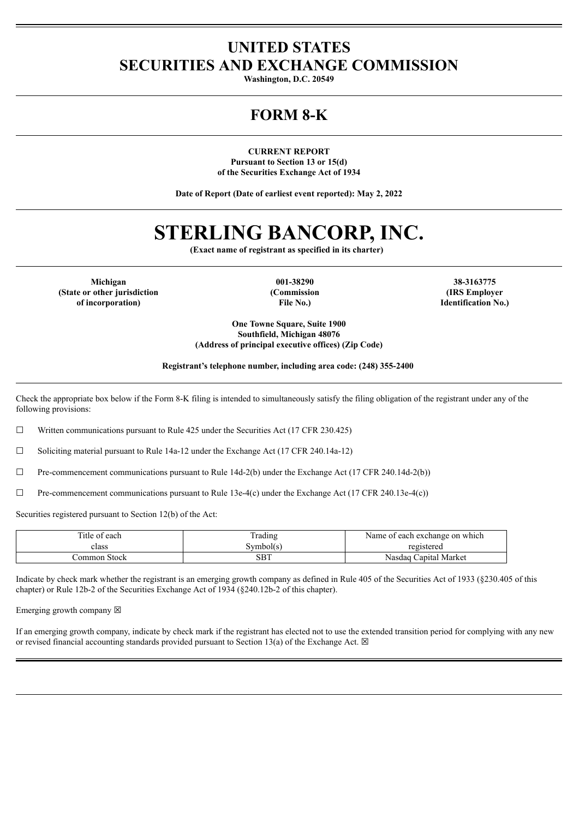# **UNITED STATES SECURITIES AND EXCHANGE COMMISSION**

**Washington, D.C. 20549**

# **FORM 8-K**

**CURRENT REPORT Pursuant to Section 13 or 15(d) of the Securities Exchange Act of 1934**

**Date of Report (Date of earliest event reported): May 2, 2022**

# **STERLING BANCORP, INC.**

**(Exact name of registrant as specified in its charter)**

**Michigan 001-38290 38-3163775 (State or other jurisdiction of incorporation)**

**(Commission File No.)**

**(IRS Employer Identification No.)**

**One Towne Square, Suite 1900 Southfield, Michigan 48076 (Address of principal executive offices) (Zip Code)**

**Registrant's telephone number, including area code: (248) 355-2400**

Check the appropriate box below if the Form 8-K filing is intended to simultaneously satisfy the filing obligation of the registrant under any of the following provisions:

☐ Written communications pursuant to Rule 425 under the Securities Act (17 CFR 230.425)

☐ Soliciting material pursuant to Rule 14a-12 under the Exchange Act (17 CFR 240.14a-12)

 $\Box$  Pre-commencement communications pursuant to Rule 14d-2(b) under the Exchange Act (17 CFR 240.14d-2(b))

 $\Box$  Pre-commencement communications pursuant to Rule 13e-4(c) under the Exchange Act (17 CFR 240.13e-4(c))

Securities registered pursuant to Section 12(b) of the Act:

| Title of each | Frading   | Name of each exchange on which |
|---------------|-----------|--------------------------------|
| class         | Symbol(s) | registered                     |
| Common Stock  | SBT       | Nasdag Capital Market          |

Indicate by check mark whether the registrant is an emerging growth company as defined in Rule 405 of the Securities Act of 1933 (§230.405 of this chapter) or Rule 12b-2 of the Securities Exchange Act of 1934 (§240.12b-2 of this chapter).

Emerging growth company  $\boxtimes$ 

If an emerging growth company, indicate by check mark if the registrant has elected not to use the extended transition period for complying with any new or revised financial accounting standards provided pursuant to Section 13(a) of the Exchange Act.  $\boxtimes$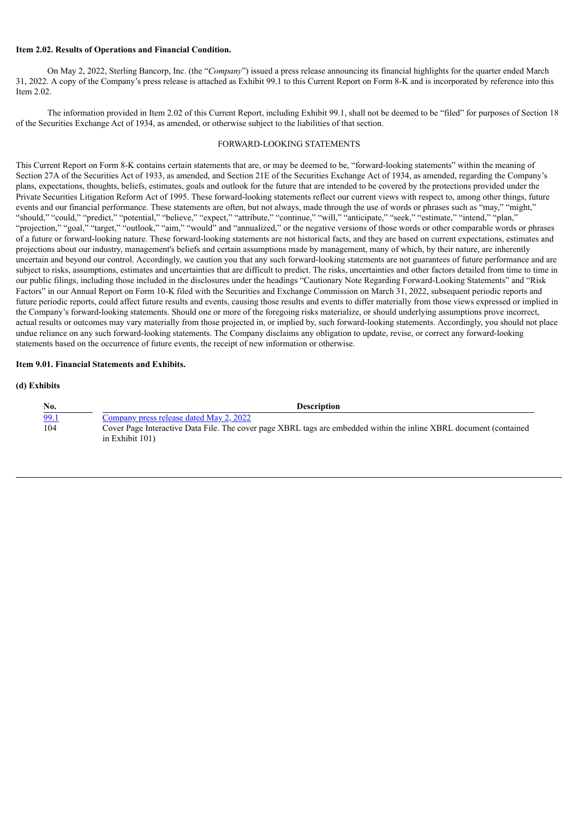#### **Item 2.02. Results of Operations and Financial Condition.**

On May 2, 2022, Sterling Bancorp, Inc. (the "*Company*") issued a press release announcing its financial highlights for the quarter ended March 31, 2022. A copy of the Company's press release is attached as Exhibit 99.1 to this Current Report on Form 8-K and is incorporated by reference into this Item 2.02.

The information provided in Item 2.02 of this Current Report, including Exhibit 99.1, shall not be deemed to be "filed" for purposes of Section 18 of the Securities Exchange Act of 1934, as amended, or otherwise subject to the liabilities of that section.

#### FORWARD-LOOKING STATEMENTS

This Current Report on Form 8-K contains certain statements that are, or may be deemed to be, "forward-looking statements" within the meaning of Section 27A of the Securities Act of 1933, as amended, and Section 21E of the Securities Exchange Act of 1934, as amended, regarding the Company's plans, expectations, thoughts, beliefs, estimates, goals and outlook for the future that are intended to be covered by the protections provided under the Private Securities Litigation Reform Act of 1995. These forward-looking statements reflect our current views with respect to, among other things, future events and our financial performance. These statements are often, but not always, made through the use of words or phrases such as "may," "might," "should," "could," "predict," "potential," "believe," "expect," "attribute," "continue," "will," "anticipate," "seek," "estimate," "intend," "plan," "projection," "goal," "target," "outlook," "aim," "would" and "annualized," or the negative versions of those words or other comparable words or phrases of a future or forward-looking nature. These forward-looking statements are not historical facts, and they are based on current expectations, estimates and projections about our industry, management's beliefs and certain assumptions made by management, many of which, by their nature, are inherently uncertain and beyond our control. Accordingly, we caution you that any such forward-looking statements are not guarantees of future performance and are subject to risks, assumptions, estimates and uncertainties that are difficult to predict. The risks, uncertainties and other factors detailed from time to time in our public filings, including those included in the disclosures under the headings "Cautionary Note Regarding Forward-Looking Statements" and "Risk Factors" in our Annual Report on Form 10-K filed with the Securities and Exchange Commission on March 31, 2022, subsequent periodic reports and future periodic reports, could affect future results and events, causing those results and events to differ materially from those views expressed or implied in the Company's forward-looking statements. Should one or more of the foregoing risks materialize, or should underlying assumptions prove incorrect, actual results or outcomes may vary materially from those projected in, or implied by, such forward-looking statements. Accordingly, you should not place undue reliance on any such forward-looking statements. The Company disclaims any obligation to update, revise, or correct any forward-looking statements based on the occurrence of future events, the receipt of new information or otherwise.

#### **Item 9.01. Financial Statements and Exhibits.**

#### **(d) Exhibits**

| No.  | <b>Description</b>                                                                                                                       |
|------|------------------------------------------------------------------------------------------------------------------------------------------|
| 99.1 | Company press release dated May 2, 2022                                                                                                  |
| 104  | Cover Page Interactive Data File. The cover page XBRL tags are embedded within the inline XBRL document (contained<br>in Exhibit $101$ ) |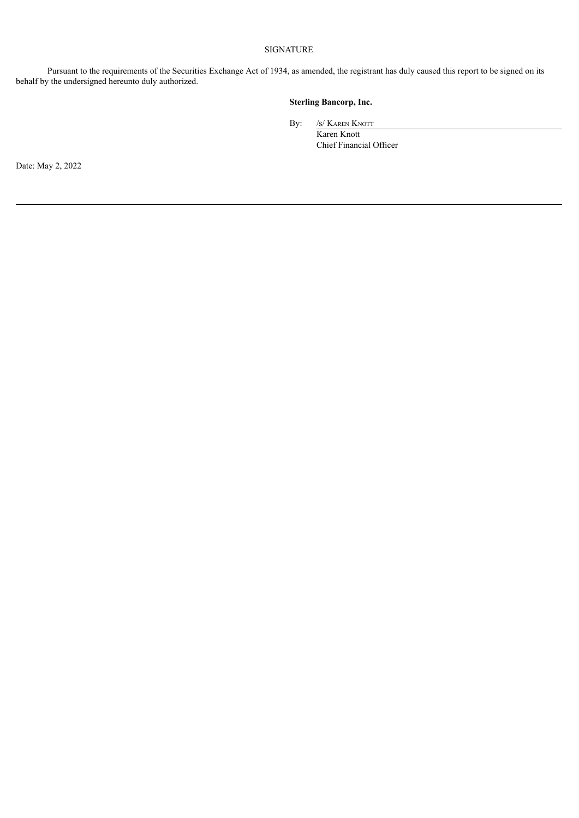## SIGNATURE

Pursuant to the requirements of the Securities Exchange Act of 1934, as amended, the registrant has duly caused this report to be signed on its behalf by the undersigned hereunto duly authorized.

# **Sterling Bancorp, Inc.**

By: /s/ Karen Knott

Karen Knott Chief Financial Officer

Date: May 2, 2022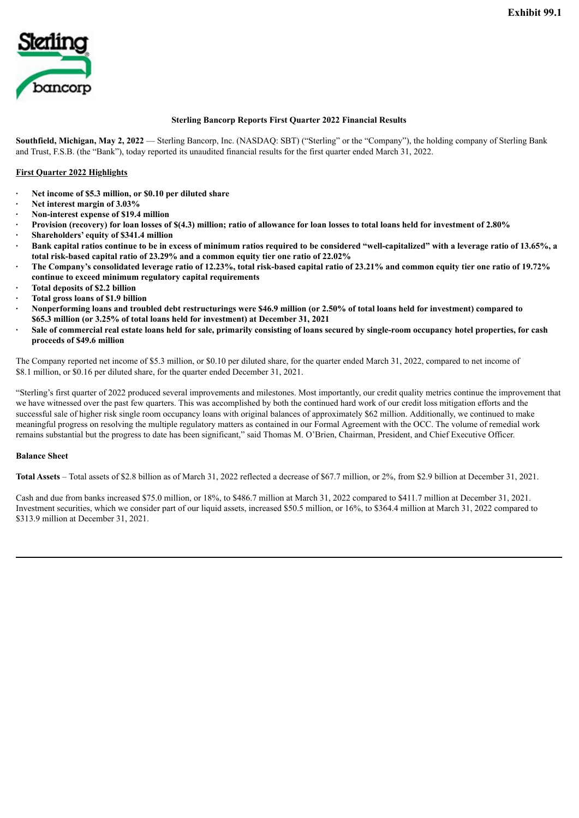<span id="page-3-0"></span>

#### **Sterling Bancorp Reports First Quarter 2022 Financial Results**

**Southfield, Michigan, May 2, 2022** — Sterling Bancorp, Inc. (NASDAQ: SBT) ("Sterling" or the "Company"), the holding company of Sterling Bank and Trust, F.S.B. (the "Bank"), today reported its unaudited financial results for the first quarter ended March 31, 2022.

#### **First Quarter 2022 Highlights**

- **· Net income of \$5.3 million, or \$0.10 per diluted share**
- **· Net interest margin of 3.03%**
- **· Non-interest expense of \$19.4 million**
- Provision (recovery) for loan losses of \$(4.3) million; ratio of allowance for loan losses to total loans held for investment of 2.80%
- **· Shareholders' equity of \$341.4 million**
- Bank capital ratios continue to be in excess of minimum ratios required to be considered "well-capitalized" with a leverage ratio of 13.65%, a **total risk-based capital ratio of 23.29% and a common equity tier one ratio of 22.02%**
- The Company's consolidated leverage ratio of 12.23%, total risk-based capital ratio of 23.21% and common equity tier one ratio of 19.72% **continue to exceed minimum regulatory capital requirements**
- **· Total deposits of \$2.2 billion**
- **· Total gross loans of \$1.9 billion**
- Nonperforming loans and troubled debt restructurings were \$46.9 million (or 2.50% of total loans held for investment) compared to **\$65.3 million (or 3.25% of total loans held for investment) at December 31, 2021**
- Sale of commercial real estate loans held for sale, primarily consisting of loans secured by single-room occupancy hotel properties, for cash **proceeds of \$49.6 million**

The Company reported net income of \$5.3 million, or \$0.10 per diluted share, for the quarter ended March 31, 2022, compared to net income of \$8.1 million, or \$0.16 per diluted share, for the quarter ended December 31, 2021.

"Sterling's first quarter of 2022 produced several improvements and milestones. Most importantly, our credit quality metrics continue the improvement that we have witnessed over the past few quarters. This was accomplished by both the continued hard work of our credit loss mitigation efforts and the successful sale of higher risk single room occupancy loans with original balances of approximately \$62 million. Additionally, we continued to make meaningful progress on resolving the multiple regulatory matters as contained in our Formal Agreement with the OCC. The volume of remedial work remains substantial but the progress to date has been significant," said Thomas M. O'Brien, Chairman, President, and Chief Executive Officer.

#### **Balance Sheet**

**Total Assets** – Total assets of \$2.8 billion as of March 31, 2022 reflected a decrease of \$67.7 million, or 2%, from \$2.9 billion at December 31, 2021.

Cash and due from banks increased \$75.0 million, or 18%, to \$486.7 million at March 31, 2022 compared to \$411.7 million at December 31, 2021. Investment securities, which we consider part of our liquid assets, increased \$50.5 million, or 16%, to \$364.4 million at March 31, 2022 compared to \$313.9 million at December 31, 2021.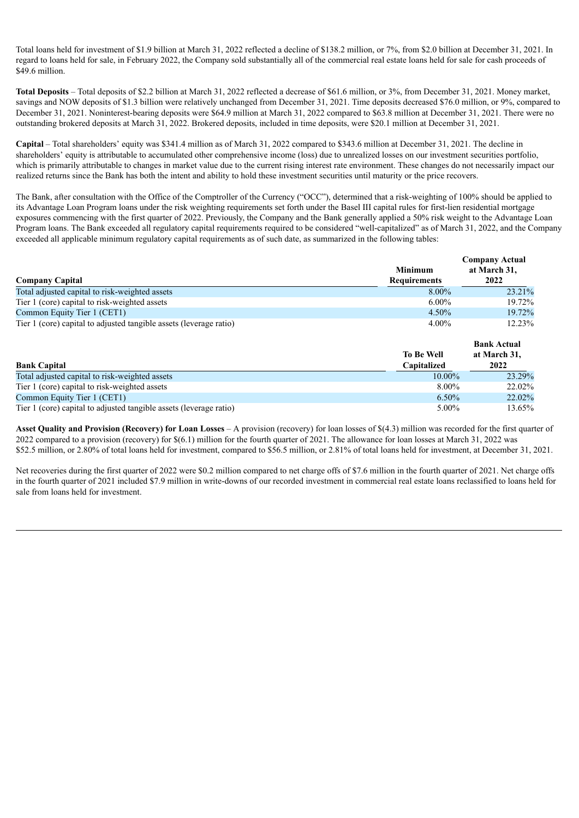Total loans held for investment of \$1.9 billion at March 31, 2022 reflected a decline of \$138.2 million, or 7%, from \$2.0 billion at December 31, 2021. In regard to loans held for sale, in February 2022, the Company sold substantially all of the commercial real estate loans held for sale for cash proceeds of \$49.6 million.

**Total Deposits** – Total deposits of \$2.2 billion at March 31, 2022 reflected a decrease of \$61.6 million, or 3%, from December 31, 2021. Money market, savings and NOW deposits of \$1.3 billion were relatively unchanged from December 31, 2021. Time deposits decreased \$76.0 million, or 9%, compared to December 31, 2021. Noninterest-bearing deposits were \$64.9 million at March 31, 2022 compared to \$63.8 million at December 31, 2021. There were no outstanding brokered deposits at March 31, 2022. Brokered deposits, included in time deposits, were \$20.1 million at December 31, 2021.

**Capital** – Total shareholders' equity was \$341.4 million as of March 31, 2022 compared to \$343.6 million at December 31, 2021. The decline in shareholders' equity is attributable to accumulated other comprehensive income (loss) due to unrealized losses on our investment securities portfolio, which is primarily attributable to changes in market value due to the current rising interest rate environment. These changes do not necessarily impact our realized returns since the Bank has both the intent and ability to hold these investment securities until maturity or the price recovers.

The Bank, after consultation with the Office of the Comptroller of the Currency ("OCC"), determined that a risk-weighting of 100% should be applied to its Advantage Loan Program loans under the risk weighting requirements set forth under the Basel III capital rules for first-lien residential mortgage exposures commencing with the first quarter of 2022. Previously, the Company and the Bank generally applied a 50% risk weight to the Advantage Loan Program loans. The Bank exceeded all regulatory capital requirements required to be considered "well-capitalized" as of March 31, 2022, and the Company exceeded all applicable minimum regulatory capital requirements as of such date, as summarized in the following tables:

|                                                                    | <b>Minimum</b>      | <b>Company Actual</b> |
|--------------------------------------------------------------------|---------------------|-----------------------|
| <b>Company Capital</b>                                             | <b>Requirements</b> | at March 31,<br>2022  |
| Total adjusted capital to risk-weighted assets                     | 8.00%               | 23.21%                |
| Tier 1 (core) capital to risk-weighted assets                      | $6.00\%$            | 19.72%                |
| Common Equity Tier 1 (CET1)                                        | 4.50%               | 19.72%                |
| Tier 1 (core) capital to adjusted tangible assets (leverage ratio) | $4.00\%$            | 12.23%                |
|                                                                    |                     | <b>Bank Actual</b>    |
|                                                                    | <b>To Be Well</b>   | at March 31,          |
| <b>Bank Capital</b>                                                | Capitalized         | 2022                  |
| Total adjusted capital to risk-weighted assets                     | 10.00%              | 23.29%                |
| Tier 1 (core) capital to risk-weighted assets                      | $8.00\%$            | 22.02%                |
| Common Equity Tier 1 (CET1)                                        | $6.50\%$            | 22.02%                |

Tier 1 (core) capital to adjusted tangible assets (leverage ratio) 5.00% 13.65% 13.65%

**Asset Quality and Provision (Recovery) for Loan Losses** – A provision (recovery) for loan losses of \$(4.3) million was recorded for the first quarter of 2022 compared to a provision (recovery) for \$(6.1) million for the fourth quarter of 2021. The allowance for loan losses at March 31, 2022 was \$52.5 million, or 2.80% of total loans held for investment, compared to \$56.5 million, or 2.81% of total loans held for investment, at December 31, 2021.

Net recoveries during the first quarter of 2022 were \$0.2 million compared to net charge offs of \$7.6 million in the fourth quarter of 2021. Net charge offs in the fourth quarter of 2021 included \$7.9 million in write-downs of our recorded investment in commercial real estate loans reclassified to loans held for sale from loans held for investment.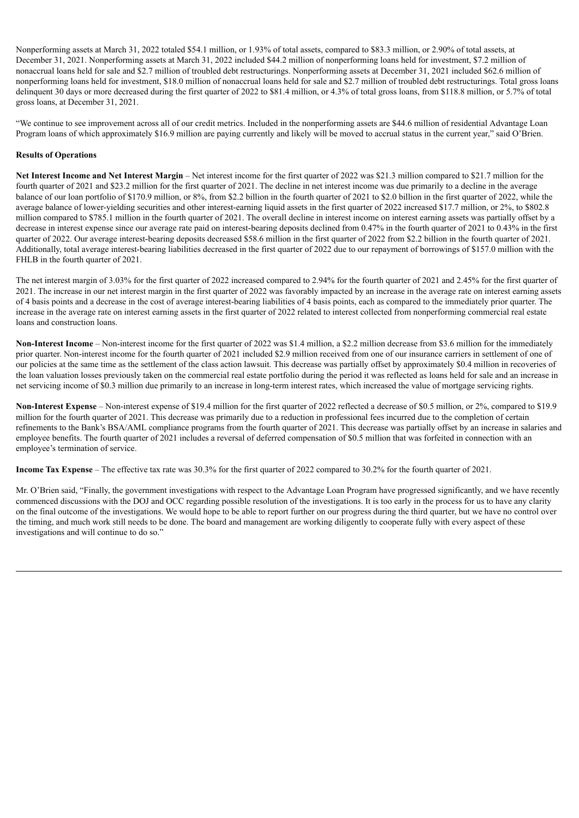Nonperforming assets at March 31, 2022 totaled \$54.1 million, or 1.93% of total assets, compared to \$83.3 million, or 2.90% of total assets, at December 31, 2021. Nonperforming assets at March 31, 2022 included \$44.2 million of nonperforming loans held for investment, \$7.2 million of nonaccrual loans held for sale and \$2.7 million of troubled debt restructurings. Nonperforming assets at December 31, 2021 included \$62.6 million of nonperforming loans held for investment, \$18.0 million of nonaccrual loans held for sale and \$2.7 million of troubled debt restructurings. Total gross loans delinquent 30 days or more decreased during the first quarter of 2022 to \$81.4 million, or 4.3% of total gross loans, from \$118.8 million, or 5.7% of total gross loans, at December 31, 2021.

"We continue to see improvement across all of our credit metrics. Included in the nonperforming assets are \$44.6 million of residential Advantage Loan Program loans of which approximately \$16.9 million are paying currently and likely will be moved to accrual status in the current year," said O'Brien.

## **Results of Operations**

**Net Interest Income and Net Interest Margin** – Net interest income for the first quarter of 2022 was \$21.3 million compared to \$21.7 million for the fourth quarter of 2021 and \$23.2 million for the first quarter of 2021. The decline in net interest income was due primarily to a decline in the average balance of our loan portfolio of \$170.9 million, or 8%, from \$2.2 billion in the fourth quarter of 2021 to \$2.0 billion in the first quarter of 2022, while the average balance of lower-yielding securities and other interest-earning liquid assets in the first quarter of 2022 increased \$17.7 million, or 2%, to \$802.8 million compared to \$785.1 million in the fourth quarter of 2021. The overall decline in interest income on interest earning assets was partially offset by a decrease in interest expense since our average rate paid on interest-bearing deposits declined from 0.47% in the fourth quarter of 2021 to 0.43% in the first quarter of 2022. Our average interest-bearing deposits decreased \$58.6 million in the first quarter of 2022 from \$2.2 billion in the fourth quarter of 2021. Additionally, total average interest-bearing liabilities decreased in the first quarter of 2022 due to our repayment of borrowings of \$157.0 million with the FHLB in the fourth quarter of 2021.

The net interest margin of 3.03% for the first quarter of 2022 increased compared to 2.94% for the fourth quarter of 2021 and 2.45% for the first quarter of 2021. The increase in our net interest margin in the first quarter of 2022 was favorably impacted by an increase in the average rate on interest earning assets of 4 basis points and a decrease in the cost of average interest-bearing liabilities of 4 basis points, each as compared to the immediately prior quarter. The increase in the average rate on interest earning assets in the first quarter of 2022 related to interest collected from nonperforming commercial real estate loans and construction loans.

**Non-Interest Income** – Non-interest income for the first quarter of 2022 was \$1.4 million, a \$2.2 million decrease from \$3.6 million for the immediately prior quarter. Non-interest income for the fourth quarter of 2021 included \$2.9 million received from one of our insurance carriers in settlement of one of our policies at the same time as the settlement of the class action lawsuit. This decrease was partially offset by approximately \$0.4 million in recoveries of the loan valuation losses previously taken on the commercial real estate portfolio during the period it was reflected as loans held for sale and an increase in net servicing income of \$0.3 million due primarily to an increase in long-term interest rates, which increased the value of mortgage servicing rights.

**Non-Interest Expense** – Non-interest expense of \$19.4 million for the first quarter of 2022 reflected a decrease of \$0.5 million, or 2%, compared to \$19.9 million for the fourth quarter of 2021. This decrease was primarily due to a reduction in professional fees incurred due to the completion of certain refinements to the Bank's BSA/AML compliance programs from the fourth quarter of 2021. This decrease was partially offset by an increase in salaries and employee benefits. The fourth quarter of 2021 includes a reversal of deferred compensation of \$0.5 million that was forfeited in connection with an employee's termination of service.

**Income Tax Expense** – The effective tax rate was 30.3% for the first quarter of 2022 compared to 30.2% for the fourth quarter of 2021.

Mr. O'Brien said, "Finally, the government investigations with respect to the Advantage Loan Program have progressed significantly, and we have recently commenced discussions with the DOJ and OCC regarding possible resolution of the investigations. It is too early in the process for us to have any clarity on the final outcome of the investigations. We would hope to be able to report further on our progress during the third quarter, but we have no control over the timing, and much work still needs to be done. The board and management are working diligently to cooperate fully with every aspect of these investigations and will continue to do so."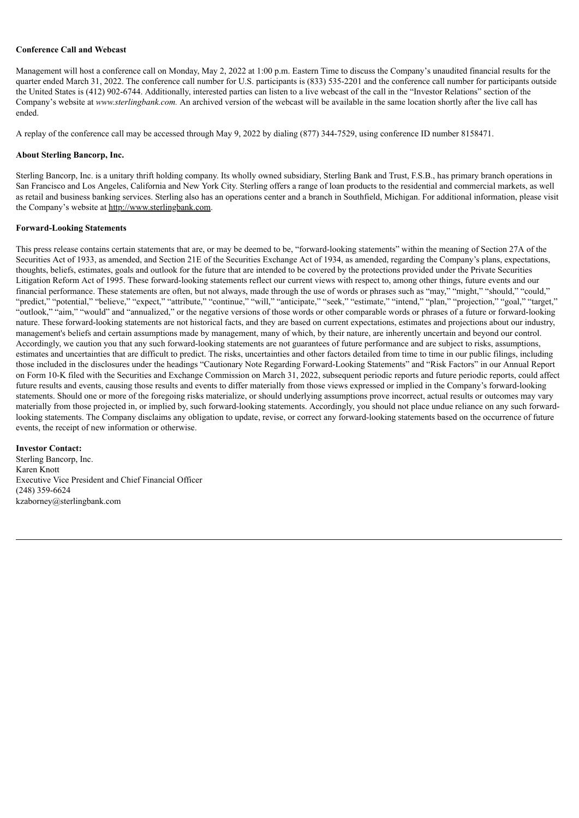#### **Conference Call and Webcast**

Management will host a conference call on Monday, May 2, 2022 at 1:00 p.m. Eastern Time to discuss the Company's unaudited financial results for the quarter ended March 31, 2022. The conference call number for U.S. participants is (833) 535-2201 and the conference call number for participants outside the United States is (412) 902-6744. Additionally, interested parties can listen to a live webcast of the call in the "Investor Relations" section of the Company's website at *www.sterlingbank.com.* An archived version of the webcast will be available in the same location shortly after the live call has ended.

A replay of the conference call may be accessed through May 9, 2022 by dialing (877) 344-7529, using conference ID number 8158471.

#### **About Sterling Bancorp, Inc.**

Sterling Bancorp, Inc. is a unitary thrift holding company. Its wholly owned subsidiary, Sterling Bank and Trust, F.S.B., has primary branch operations in San Francisco and Los Angeles, California and New York City. Sterling offers a range of loan products to the residential and commercial markets, as well as retail and business banking services. Sterling also has an operations center and a branch in Southfield, Michigan. For additional information, please visit the Company's website at http://www.sterlingbank.com.

#### **Forward-Looking Statements**

This press release contains certain statements that are, or may be deemed to be, "forward-looking statements" within the meaning of Section 27A of the Securities Act of 1933, as amended, and Section 21E of the Securities Exchange Act of 1934, as amended, regarding the Company's plans, expectations, thoughts, beliefs, estimates, goals and outlook for the future that are intended to be covered by the protections provided under the Private Securities Litigation Reform Act of 1995. These forward-looking statements reflect our current views with respect to, among other things, future events and our financial performance. These statements are often, but not always, made through the use of words or phrases such as "may," "might," "should," "could," "predict," "potential," "believe," "expect," "attribute," "continue," "will," "anticipate," "seek," "estimate," "intend," "plan," "projection," "goal," "target," "outlook," "aim," "would" and "annualized," or the negative versions of those words or other comparable words or phrases of a future or forward-looking nature. These forward-looking statements are not historical facts, and they are based on current expectations, estimates and projections about our industry, management's beliefs and certain assumptions made by management, many of which, by their nature, are inherently uncertain and beyond our control. Accordingly, we caution you that any such forward-looking statements are not guarantees of future performance and are subject to risks, assumptions, estimates and uncertainties that are difficult to predict. The risks, uncertainties and other factors detailed from time to time in our public filings, including those included in the disclosures under the headings "Cautionary Note Regarding Forward-Looking Statements" and "Risk Factors" in our Annual Report on Form 10-K filed with the Securities and Exchange Commission on March 31, 2022, subsequent periodic reports and future periodic reports, could affect future results and events, causing those results and events to differ materially from those views expressed or implied in the Company's forward-looking statements. Should one or more of the foregoing risks materialize, or should underlying assumptions prove incorrect, actual results or outcomes may vary materially from those projected in, or implied by, such forward-looking statements. Accordingly, you should not place undue reliance on any such forwardlooking statements. The Company disclaims any obligation to update, revise, or correct any forward-looking statements based on the occurrence of future events, the receipt of new information or otherwise.

#### **Investor Contact:**

Sterling Bancorp, Inc. Karen Knott Executive Vice President and Chief Financial Officer (248) 359-6624 kzaborney@sterlingbank.com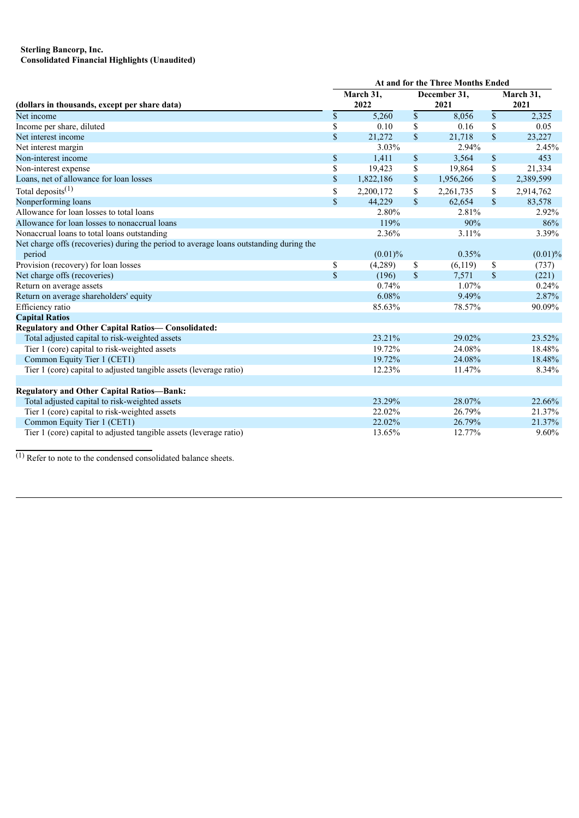#### **Sterling Bancorp, Inc. Consolidated Financial Highlights (Unaudited)**

|                                                                                        | At and for the Three Months Ended |            |               |           |              |           |  |  |  |
|----------------------------------------------------------------------------------------|-----------------------------------|------------|---------------|-----------|--------------|-----------|--|--|--|
|                                                                                        |                                   | March 31,  | December 31,  |           |              | March 31, |  |  |  |
| (dollars in thousands, except per share data)                                          |                                   | 2022       |               | 2021      | 2021         |           |  |  |  |
| Net income                                                                             | \$                                | 5,260      | \$            | 8,056     | \$           | 2,325     |  |  |  |
| Income per share, diluted                                                              | \$                                | 0.10       | \$            | 0.16      | \$           | 0.05      |  |  |  |
| Net interest income                                                                    | \$                                | 21,272     | $\mathsf{\$}$ | 21,718    | \$           | 23,227    |  |  |  |
| Net interest margin                                                                    |                                   | 3.03%      |               | 2.94%     |              | 2.45%     |  |  |  |
| Non-interest income                                                                    | \$                                | 1,411      | \$            | 3,564     | \$           | 453       |  |  |  |
| Non-interest expense                                                                   | \$                                | 19,423     | \$            | 19,864    | \$           | 21,334    |  |  |  |
| Loans, net of allowance for loan losses                                                | \$                                | 1,822,186  | $\mathbb{S}$  | 1,956,266 | \$           | 2,389,599 |  |  |  |
| Total deposits <sup><math>(1)</math></sup>                                             | \$                                | 2,200,172  | \$            | 2,261,735 | \$           | 2,914,762 |  |  |  |
| Nonperforming loans                                                                    | \$                                | 44,229     | $\mathbf S$   | 62,654    | $\mathbf{s}$ | 83,578    |  |  |  |
| Allowance for loan losses to total loans                                               |                                   | 2.80%      |               | 2.81%     |              | 2.92%     |  |  |  |
| Allowance for loan losses to nonaccrual loans                                          |                                   | 119%       |               | 90%       |              | 86%       |  |  |  |
| Nonaccrual loans to total loans outstanding                                            |                                   | 2.36%      |               | 3.11%     |              | 3.39%     |  |  |  |
| Net charge offs (recoveries) during the period to average loans outstanding during the |                                   |            |               |           |              |           |  |  |  |
| period                                                                                 |                                   | $(0.01)\%$ |               | 0.35%     |              | (0.01)%   |  |  |  |
| Provision (recovery) for loan losses                                                   | \$                                | (4,289)    | \$            | (6,119)   | \$           | (737)     |  |  |  |
| Net charge offs (recoveries)                                                           | \$                                | (196)      | \$            | 7,571     | \$           | (221)     |  |  |  |
| Return on average assets                                                               |                                   | 0.74%      |               | 1.07%     |              | 0.24%     |  |  |  |
| Return on average shareholders' equity                                                 |                                   | 6.08%      |               | 9.49%     |              | 2.87%     |  |  |  |
| Efficiency ratio                                                                       |                                   | 85.63%     |               | 78.57%    |              | 90.09%    |  |  |  |
| <b>Capital Ratios</b>                                                                  |                                   |            |               |           |              |           |  |  |  |
| <b>Regulatory and Other Capital Ratios-Consolidated:</b>                               |                                   |            |               |           |              |           |  |  |  |
| Total adjusted capital to risk-weighted assets                                         |                                   | 23.21%     |               | 29.02%    |              | 23.52%    |  |  |  |
| Tier 1 (core) capital to risk-weighted assets                                          |                                   | 19.72%     |               | 24.08%    |              | 18.48%    |  |  |  |
| Common Equity Tier 1 (CET1)                                                            |                                   | 19.72%     |               | 24.08%    |              | 18.48%    |  |  |  |
| Tier 1 (core) capital to adjusted tangible assets (leverage ratio)                     |                                   | 12.23%     |               | 11.47%    |              | 8.34%     |  |  |  |
| <b>Regulatory and Other Capital Ratios-Bank:</b>                                       |                                   |            |               |           |              |           |  |  |  |
| Total adjusted capital to risk-weighted assets                                         |                                   | 23.29%     |               | 28.07%    |              | 22.66%    |  |  |  |
| Tier 1 (core) capital to risk-weighted assets                                          |                                   | 22.02%     |               | 26.79%    |              | 21.37%    |  |  |  |
| Common Equity Tier 1 (CET1)                                                            |                                   | 22.02%     |               | 26.79%    |              | 21.37%    |  |  |  |
| Tier 1 (core) capital to adjusted tangible assets (leverage ratio)                     |                                   | 13.65%     |               | 12.77%    |              | 9.60%     |  |  |  |
|                                                                                        |                                   |            |               |           |              |           |  |  |  |

 $\overline{^{(1)}$  Refer to note to the condensed consolidated balance sheets.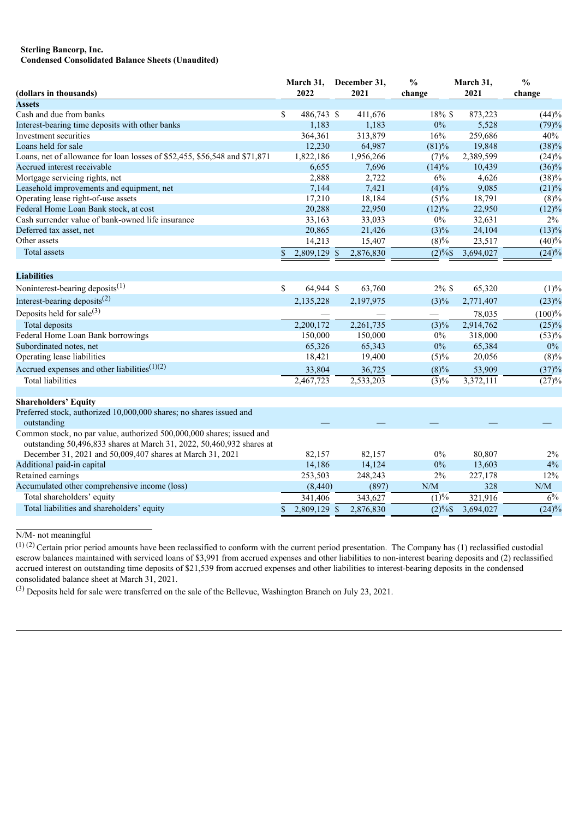#### **Sterling Bancorp, Inc. Condensed Consolidated Balance Sheets (Unaudited)**

| (dollars in thousands)                                                                                                                         |             | March 31,<br>2022 |               | December 31,<br>2021 | $\frac{0}{0}$<br>change | March 31,<br>2021 | $\frac{0}{0}$<br>change |
|------------------------------------------------------------------------------------------------------------------------------------------------|-------------|-------------------|---------------|----------------------|-------------------------|-------------------|-------------------------|
| <b>Assets</b>                                                                                                                                  |             |                   |               |                      |                         |                   |                         |
| Cash and due from banks                                                                                                                        | \$          | 486,743 \$        |               | 411,676              | 18% \$                  | 873,223           | (44)%                   |
| Interest-bearing time deposits with other banks                                                                                                |             | 1,183             |               | 1,183                | $0\%$                   | 5,528             | (79)%                   |
| Investment securities                                                                                                                          |             | 364,361           |               | 313,879              | 16%                     | 259,686           | 40%                     |
| Loans held for sale                                                                                                                            |             | 12,230            |               | 64,987               | (81)%                   | 19,848            | (38)%                   |
| Loans, net of allowance for loan losses of \$52,455, \$56,548 and \$71,871                                                                     |             | 1,822,186         |               | 1,956,266            | (7)%                    | 2,389,599         | $(24)\%$                |
| Accrued interest receivable                                                                                                                    |             | 6,655             |               | 7,696                | (14)%                   | 10,439            | $(36)\%$                |
| Mortgage servicing rights, net                                                                                                                 |             | 2,888             |               | 2,722                | $6\%$                   | 4,626             | (38)%                   |
| Leasehold improvements and equipment, net                                                                                                      |             | 7,144             |               | 7,421                | (4)%                    | 9,085             | $(21)\%$                |
| Operating lease right-of-use assets                                                                                                            |             | 17,210            |               | 18,184               | (5)%                    | 18,791            | $(8)\%$                 |
| Federal Home Loan Bank stock, at cost                                                                                                          |             | 20,288            |               | 22,950               | (12)%                   | 22,950            | (12)%                   |
| Cash surrender value of bank-owned life insurance                                                                                              |             | 33,163            |               | 33,033               | $0\%$                   | 32,631            | 2%                      |
| Deferred tax asset, net                                                                                                                        |             | 20,865            |               | 21,426               | $(3)\%$                 | 24,104            | (13)%                   |
| Other assets                                                                                                                                   |             | 14,213            |               | 15,407               | (8)%                    | 23,517            | (40)%                   |
| Total assets                                                                                                                                   | \$          | 2,809,129 \$      |               | 2,876,830            | $(2)\%$                 | 3,694,027         | (24)%                   |
| <b>Liabilities</b>                                                                                                                             |             |                   |               |                      |                         |                   |                         |
|                                                                                                                                                |             |                   |               |                      |                         |                   |                         |
| Noninterest-bearing deposits $(1)$                                                                                                             | \$          | 64,944 \$         |               | 63,760               | $2\%$ \$                | 65,320            | (1)%                    |
| Interest-bearing deposits <sup>(2)</sup>                                                                                                       |             | 2,135,228         |               | 2,197,975            | $(3)\%$                 | 2,771,407         | (23)%                   |
| Deposits held for sale $^{(3)}$                                                                                                                |             |                   |               |                      |                         | 78,035            | (100)%                  |
| Total deposits                                                                                                                                 |             | 2,200,172         |               | 2,261,735            | $\sqrt{(3)}\%$          | 2,914,762         | $(25)\%$                |
| Federal Home Loan Bank borrowings                                                                                                              |             | 150,000           |               | 150,000              | $0\%$                   | 318,000           | (53)%                   |
| Subordinated notes, net                                                                                                                        |             | 65,326            |               | 65,343               | $0\%$                   | 65,384            | $0\%$                   |
| Operating lease liabilities                                                                                                                    |             | 18,421            |               | 19,400               | $(5)\%$                 | 20,056            | $(8)\%$                 |
| Accrued expenses and other liabilities $(1)(2)$                                                                                                |             | 33,804            |               | 36,725               | $(8)\%$                 | 53,909            | (37)%                   |
| <b>Total liabilities</b>                                                                                                                       |             | 2,467,723         |               | 2,533,203            | (3)%                    | 3,372,111         | (27)%                   |
| <b>Shareholders' Equity</b>                                                                                                                    |             |                   |               |                      |                         |                   |                         |
| Preferred stock, authorized 10,000,000 shares; no shares issued and<br>outstanding                                                             |             |                   |               |                      |                         |                   |                         |
| Common stock, no par value, authorized 500,000,000 shares; issued and<br>outstanding 50,496,833 shares at March 31, 2022, 50,460,932 shares at |             |                   |               |                      |                         |                   |                         |
| December 31, 2021 and 50,009,407 shares at March 31, 2021                                                                                      |             | 82,157            |               | 82,157               | $0\%$                   | 80,807            | 2%                      |
| Additional paid-in capital                                                                                                                     |             | 14,186            |               | 14,124               | $0\%$                   | 13,603            | 4%                      |
| Retained earnings                                                                                                                              |             | 253,503           |               | 248,243              | 2%                      | 227,178           | 12%                     |
| Accumulated other comprehensive income (loss)                                                                                                  |             | (8,440)           |               | (897)                | N/M                     | 328               | N/M                     |
| Total shareholders' equity                                                                                                                     |             | 341,406           |               | 343,627              | (1)%                    | 321,916           | $\overline{6}\%$        |
| Total liabilities and shareholders' equity                                                                                                     | $\mathbf S$ | 2,809,129         | <sup>\$</sup> | 2,876,830            | $(2)\%$                 | 3,694,027         | (24)%                   |

N/M- not meaningful

 $(1)$  (2) Certain prior period amounts have been reclassified to conform with the current period presentation. The Company has (1) reclassified custodial escrow balances maintained with serviced loans of \$3,991 from accrued expenses and other liabilities to non-interest bearing deposits and (2) reclassified accrued interest on outstanding time deposits of \$21,539 from accrued expenses and other liabilities to interest-bearing deposits in the condensed consolidated balance sheet at March 31, 2021.

(3) Deposits held for sale were transferred on the sale of the Bellevue, Washington Branch on July 23, 2021.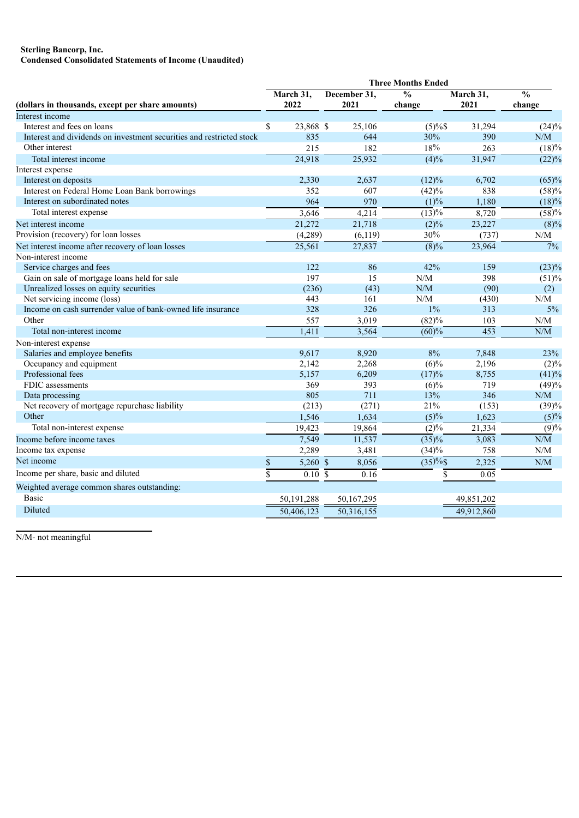# **Sterling Bancorp, Inc.**

**Condensed Consolidated Statements of Income (Unaudited)**

|                                                                      | <b>Three Months Ended</b> |                      |      |              |                          |            |                                               |  |  |  |
|----------------------------------------------------------------------|---------------------------|----------------------|------|--------------|--------------------------|------------|-----------------------------------------------|--|--|--|
|                                                                      |                           | March 31,            |      | December 31, | $\overline{\frac{0}{0}}$ | March 31,  | $\frac{0}{0}$                                 |  |  |  |
| (dollars in thousands, except per share amounts)                     |                           | 2022                 | 2021 |              | change                   | 2021       | change                                        |  |  |  |
| Interest income                                                      |                           |                      |      |              |                          |            |                                               |  |  |  |
| Interest and fees on loans                                           | \$                        | 23,868 \$            |      | 25,106       | $(5)\%$                  | 31,294     | $(24)\%$                                      |  |  |  |
| Interest and dividends on investment securities and restricted stock |                           | 835                  |      | 644          | 30%                      | 390        | N/M                                           |  |  |  |
| Other interest                                                       |                           | 215                  |      | 182          | 18%                      | 263        | (18)%                                         |  |  |  |
| Total interest income                                                |                           | 24,918               |      | 25,932       | $\frac{1}{(4)}%$         | 31,947     | $\overline{(22)}\%$                           |  |  |  |
| Interest expense                                                     |                           |                      |      |              |                          |            |                                               |  |  |  |
| Interest on deposits                                                 |                           | 2,330                |      | 2,637        | (12)%                    | 6,702      | (65)%                                         |  |  |  |
| Interest on Federal Home Loan Bank borrowings                        |                           | 352                  |      | 607          | (42)%                    | 838        | (58)%                                         |  |  |  |
| Interest on subordinated notes                                       |                           | 964                  |      | 970          | (1)%                     | 1,180      | $(18)\%$                                      |  |  |  |
| Total interest expense                                               |                           | 3,646                |      | 4,214        | (13)%                    | 8,720      | (58)%                                         |  |  |  |
| Net interest income                                                  |                           | 21,272               |      | 21,718       | $(2)\%$                  | 23,227     | (8)%                                          |  |  |  |
| Provision (recovery) for loan losses                                 |                           | (4,289)              |      | (6, 119)     | 30%                      | (737)      | N/M                                           |  |  |  |
| Net interest income after recovery of loan losses                    |                           | 25,561               |      | 27,837       | $(8)\%$                  | 23,964     | $\frac{1}{7}\%$                               |  |  |  |
| Non-interest income                                                  |                           |                      |      |              |                          |            |                                               |  |  |  |
| Service charges and fees                                             |                           | 122                  |      | 86           | 42%                      | 159        | $(23)\%$                                      |  |  |  |
| Gain on sale of mortgage loans held for sale                         |                           | 197                  |      | 15           | N/M                      | 398        | (51)%                                         |  |  |  |
| Unrealized losses on equity securities                               |                           | (236)                |      | (43)         | N/M                      | (90)       | (2)                                           |  |  |  |
| Net servicing income (loss)                                          |                           | 443                  |      | 161          | N/M                      | (430)      | N/M                                           |  |  |  |
| Income on cash surrender value of bank-owned life insurance          |                           | 328                  |      | 326          | $1\%$                    | 313        | 5%                                            |  |  |  |
| Other                                                                |                           | 557                  |      | 3,019        | (82)%                    | 103        | N/M                                           |  |  |  |
| Total non-interest income                                            |                           | 1,411                |      | 3,564        | (60)%                    | 453        | N/M                                           |  |  |  |
| Non-interest expense                                                 |                           |                      |      |              |                          |            |                                               |  |  |  |
| Salaries and employee benefits                                       |                           | 9,617                |      | 8,920        | 8%                       | 7,848      | 23%                                           |  |  |  |
| Occupancy and equipment                                              |                           | 2,142                |      | 2,268        | $(6)\%$                  | 2,196      | $(2)\%$                                       |  |  |  |
| Professional fees                                                    |                           | 5,157                |      | 6,209        | (17)%                    | 8,755      | (41)%                                         |  |  |  |
| FDIC assessments                                                     |                           | 369                  |      | 393          | $(6)\%$                  | 719        | (49)%                                         |  |  |  |
| Data processing                                                      |                           | 805                  |      | 711          | 13%                      | 346        | N/M                                           |  |  |  |
| Net recovery of mortgage repurchase liability                        |                           | (213)                |      | (271)        | 21%                      | (153)      | (39)%                                         |  |  |  |
| Other                                                                |                           | 1,546                |      | 1,634        | (5)%                     | 1,623      | (5)%                                          |  |  |  |
| Total non-interest expense                                           |                           | 19,423               |      | 19,864       | $(2)\%$                  | 21,334     | (9)%                                          |  |  |  |
| Income before income taxes                                           |                           | 7,549                |      | 11,537       | $\sqrt{(35)}\%$          | 3,083      | N/M                                           |  |  |  |
| Income tax expense                                                   |                           | 2,289                |      | 3,481        | (34)%                    | 758        | N/M                                           |  |  |  |
| Net income                                                           | $\boldsymbol{\$}$         | 5,260 \$             |      | 8,056        | $(35) \%$ \$             | 2,325      | $\ensuremath{\text{N}}/\ensuremath{\text{M}}$ |  |  |  |
| Income per share, basic and diluted                                  | $\overline{\mathbb{S}}$   | $\overline{0.10}$ \$ |      | 0.16         | $\overline{\$}$          | 0.05       |                                               |  |  |  |
| Weighted average common shares outstanding:                          |                           |                      |      |              |                          |            |                                               |  |  |  |
| <b>Basic</b>                                                         |                           | 50, 191, 288         |      | 50,167,295   |                          | 49,851,202 |                                               |  |  |  |
| Diluted                                                              |                           | 50,406,123           |      | 50,316,155   |                          | 49,912,860 |                                               |  |  |  |

N/M- not meaningful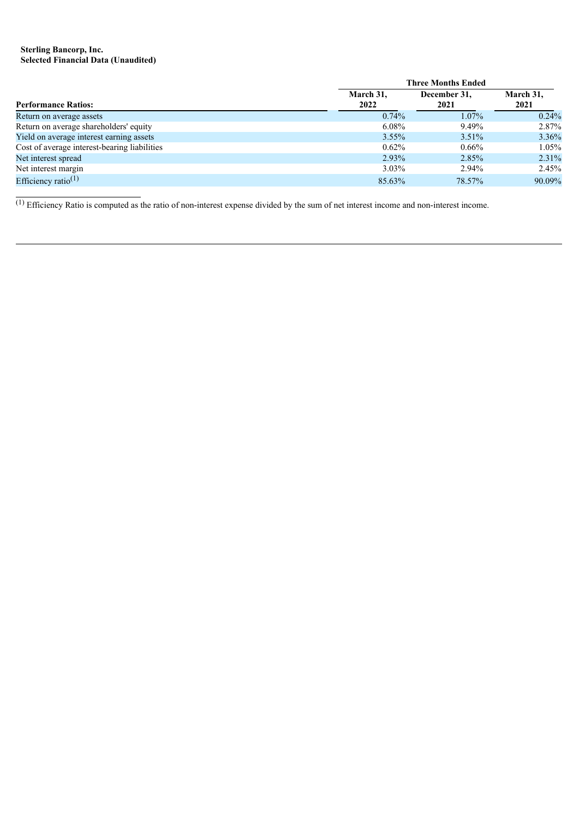# **Sterling Bancorp, Inc. Selected Financial Data (Unaudited)**

|                                              |           | <b>Three Months Ended</b> |           |  |  |  |  |  |  |
|----------------------------------------------|-----------|---------------------------|-----------|--|--|--|--|--|--|
|                                              | March 31, | December 31,              | March 31, |  |  |  |  |  |  |
| <b>Performance Ratios:</b>                   | 2022      | 2021                      | 2021      |  |  |  |  |  |  |
| Return on average assets                     | $0.74\%$  | 1.07%                     | $0.24\%$  |  |  |  |  |  |  |
| Return on average shareholders' equity       | $6.08\%$  | 9.49%                     | 2.87%     |  |  |  |  |  |  |
| Yield on average interest earning assets     | $3.55\%$  | $3.51\%$                  | 3.36%     |  |  |  |  |  |  |
| Cost of average interest-bearing liabilities | $0.62\%$  | $0.66\%$                  | $1.05\%$  |  |  |  |  |  |  |
| Net interest spread                          | 2.93%     | 2.85%                     | 2.31%     |  |  |  |  |  |  |
| Net interest margin                          | $3.03\%$  | 2.94%                     | 2.45%     |  |  |  |  |  |  |
| Efficiency ratio <sup>(1)</sup>              | 85.63%    | 78.57%                    | 90.09%    |  |  |  |  |  |  |

 $\frac{1}{10}$  Efficiency Ratio is computed as the ratio of non-interest expense divided by the sum of net interest income and non-interest income.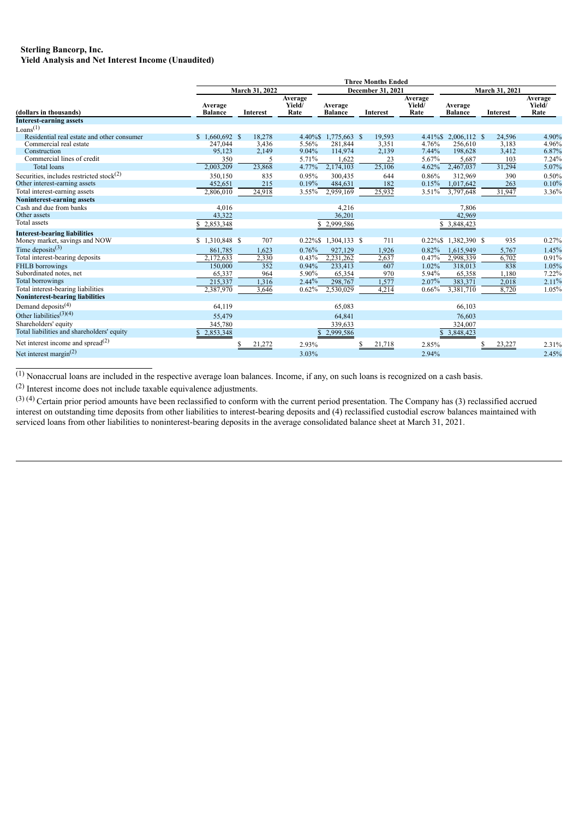# **Sterling Bancorp, Inc.**

**Yield Analysis and Net Interest Income (Unaudited)**

|                                             | <b>Three Months Ended</b> |                 |                           |                           |                   |                           |                           |                 |                           |  |  |  |  |
|---------------------------------------------|---------------------------|-----------------|---------------------------|---------------------------|-------------------|---------------------------|---------------------------|-----------------|---------------------------|--|--|--|--|
|                                             |                           | March 31, 2022  |                           |                           | December 31, 2021 |                           |                           | March 31, 2021  |                           |  |  |  |  |
| (dollars in thousands)                      | Average<br><b>Balance</b> | <b>Interest</b> | Average<br>Yield/<br>Rate | Average<br><b>Balance</b> | Interest          | Average<br>Yield/<br>Rate | Average<br><b>Balance</b> | <b>Interest</b> | Average<br>Yield/<br>Rate |  |  |  |  |
| <b>Interest-earning assets</b>              |                           |                 |                           |                           |                   |                           |                           |                 |                           |  |  |  |  |
| Loans <sup>(1)</sup>                        |                           |                 |                           |                           |                   |                           |                           |                 |                           |  |  |  |  |
| Residential real estate and other consumer  | $$1.660.692$ \$           | 18,278          | 4.40%\$                   | 1,775,663 \$              | 19,593            | $4.41\%$ \$               | 2,006,112 \$              | 24,596          | 4.90%                     |  |  |  |  |
| Commercial real estate                      | 247,044                   | 3,436           | 5.56%                     | 281,844                   | 3,351             | 4.76%                     | 256,610                   | 3,183           | 4.96%                     |  |  |  |  |
| Construction                                | 95,123                    | 2,149           | 9.04%                     | 114,974                   | 2,139             | 7.44%                     | 198,628                   | 3,412           | 6.87%                     |  |  |  |  |
| Commercial lines of credit                  | 350                       | 5               | 5.71%                     | 1,622                     | 23                | 5.67%                     | 5,687                     | 103             | 7.24%                     |  |  |  |  |
| <b>Total loans</b>                          | 2,003,209                 | 23,868          | 4.77%                     | 2,174,103                 | 25,106            | 4.62%                     | 2,467,037                 | 31,294          | 5.07%                     |  |  |  |  |
| Securities, includes restricted stock $(2)$ | 350,150                   | 835             | 0.95%                     | 300.435                   | 644               | 0.86%                     | 312.969                   | 390             | 0.50%                     |  |  |  |  |
| Other interest-earning assets               | 452,651                   | 215             | 0.19%                     | 484,631                   | 182               | 0.15%                     | 1,017,642                 | 263             | 0.10%                     |  |  |  |  |
| Total interest-earning assets               | 2,806,010                 | 24,918          | $3.55\%$                  | 2,959,169                 | 25,932            | 3.51%                     | 3,797,648                 | 31,947          | 3.36%                     |  |  |  |  |
| <b>Noninterest-earning assets</b>           |                           |                 |                           |                           |                   |                           |                           |                 |                           |  |  |  |  |
| Cash and due from banks                     | 4,016                     |                 |                           | 4,216                     |                   |                           | 7,806                     |                 |                           |  |  |  |  |
| Other assets                                | 43,322                    |                 |                           | 36,201                    |                   |                           | 42,969                    |                 |                           |  |  |  |  |
| Total assets                                | \$2,853,348               |                 |                           | \$2,999,586               |                   |                           | \$3,848,423               |                 |                           |  |  |  |  |
| <b>Interest-bearing liabilities</b>         |                           |                 |                           |                           |                   |                           |                           |                 |                           |  |  |  |  |
| Money market, savings and NOW               | $$1,310,848$ \$           | 707             | $0.22\%$ \$               | 1,304,133 \$              | 711               | $0.22\%$ \$               | 1,382,390 \$              | 935             | 0.27%                     |  |  |  |  |
| Time deposits $(3)$                         | 861,785                   | 1,623           | 0.76%                     | 927,129                   | 1,926             | 0.82%                     | 1,615,949                 | 5,767           | 1.45%                     |  |  |  |  |
| Total interest-bearing deposits             | 2,172,633                 | 2,330           | 0.43%                     | 2,231,262                 | 2,637             | 0.47%                     | 2,998,339                 | 6,702           | 0.91%                     |  |  |  |  |
| <b>FHLB</b> borrowings                      | 150,000                   | 352             | 0.94%                     | 233,413                   | 607               | 1.02%                     | 318,013                   | 838             | 1.05%                     |  |  |  |  |
| Subordinated notes, net                     | 65,337                    | 964             | 5.90%                     | 65,354                    | 970               | 5.94%                     | 65,358                    | 1,180           | 7.22%                     |  |  |  |  |
| <b>Total borrowings</b>                     | 215,337                   | 1,316           | 2.44%                     | 298,767                   | 1,577             | 2.07%                     | 383,371                   | 2,018           | 2.11%                     |  |  |  |  |
| Total interest-bearing liabilities          | 2,387,970                 | 3,646           | $0.62\%$                  | 2,530,029                 | 4,214             | 0.66%                     | 3,381,710                 | 8,720           | 1.05%                     |  |  |  |  |
| <b>Noninterest-bearing liabilities</b>      |                           |                 |                           |                           |                   |                           |                           |                 |                           |  |  |  |  |
| Demand deposits <sup>(4)</sup>              | 64,119                    |                 |                           | 65,083                    |                   |                           | 66,103                    |                 |                           |  |  |  |  |
| Other liabilities <sup>(3)(4)</sup>         | 55,479                    |                 |                           | 64,841                    |                   |                           | 76,603                    |                 |                           |  |  |  |  |
| Shareholders' equity                        | 345,780                   |                 |                           | 339,633                   |                   |                           | 324,007                   |                 |                           |  |  |  |  |
| Total liabilities and shareholders' equity  | 2,853,348                 |                 |                           | 2,999,586                 |                   |                           | 3,848,423                 |                 |                           |  |  |  |  |
| Net interest income and spread $^{(2)}$     |                           | 21,272          | 2.93%                     |                           | 21,718<br>S       | 2.85%                     |                           | 23,227          | 2.31%                     |  |  |  |  |
| Net interest margin $^{(2)}$                |                           |                 | 3.03%                     |                           |                   | 2.94%                     |                           |                 | 2.45%                     |  |  |  |  |

 $\overline{(1)}$  Nonaccrual loans are included in the respective average loan balances. Income, if any, on such loans is recognized on a cash basis.

(2) Interest income does not include taxable equivalence adjustments.

 $(3)$  (4) Certain prior period amounts have been reclassified to conform with the current period presentation. The Company has (3) reclassified accrued interest on outstanding time deposits from other liabilities to interest-bearing deposits and (4) reclassified custodial escrow balances maintained with serviced loans from other liabilities to noninterest-bearing deposits in the average consolidated balance sheet at March 31, 2021.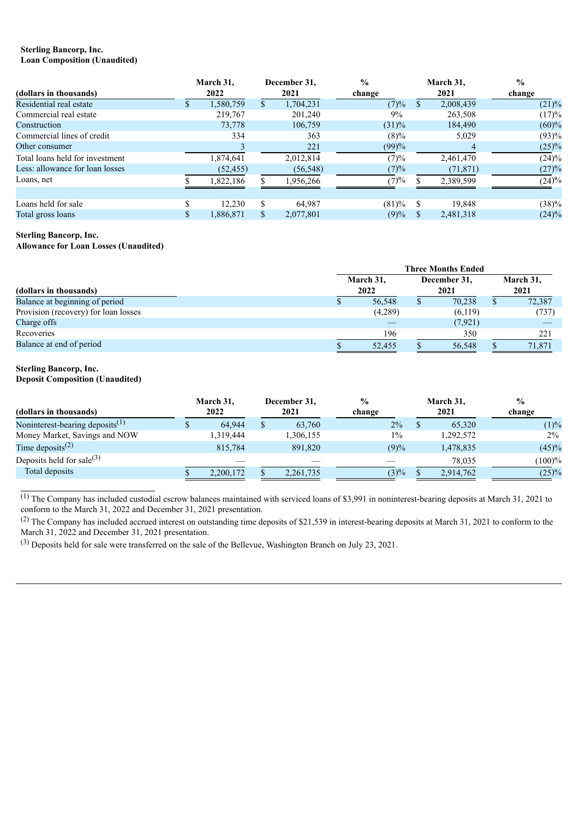#### **Sterling Bancorp, Inc. Loan Composition (Unaudited)**

|                                 |   | March 31. |    | December 31. | $\frac{6}{6}$ |      | March 31, | $\frac{0}{0}$ |
|---------------------------------|---|-----------|----|--------------|---------------|------|-----------|---------------|
| (dollars in thousands)          |   | 2022      |    | 2021         | change        | 2021 |           | change        |
| Residential real estate         | ж | 1,580,759 | ъ. | 1,704,231    | (7)%          | ъ    | 2,008,439 | $(21)\%$      |
| Commercial real estate          |   | 219,767   |    | 201,240      | 9%            |      | 263,508   | (17)%         |
| Construction                    |   | 73,778    |    | 106,759      | $(31)\%$      |      | 184,490   | (60)%         |
| Commercial lines of credit      |   | 334       |    | 363          | $(8)\%$       |      | 5,029     | (93)%         |
| Other consumer                  |   |           |    | 221          | (99)%         |      | 4         | (25)%         |
| Total loans held for investment |   | 1,874,641 |    | 2,012,814    | (7)%          |      | 2,461,470 | $(24)\%$      |
| Less: allowance for loan losses |   | (52, 455) |    | (56, 548)    | (7)%          |      | (71, 871) | (27)%         |
| Loans, net                      |   | 1,822,186 |    | 1,956,266    | (7)%          |      | 2,389,599 | $(24)\%$      |
|                                 |   |           |    |              |               |      |           |               |
| Loans held for sale             |   | 12.230    | S  | 64,987       | (81)%         |      | 19,848    | (38)%         |
| Total gross loans               |   | 1,886,871 |    | 2,077,801    | (9)%          |      | 2,481,318 | $(24)\%$      |

# **Sterling Bancorp, Inc.**

**Allowance for Loan Losses (Unaudited)**

|                                      | <b>Three Months Ended</b> |         |  |                      |  |                   |  |  |  |
|--------------------------------------|---------------------------|---------|--|----------------------|--|-------------------|--|--|--|
| (dollars in thousands)               | March 31,<br>2022         |         |  | December 31,<br>2021 |  | March 31,<br>2021 |  |  |  |
| Balance at beginning of period       |                           | 56,548  |  | 70,238               |  | 72,387            |  |  |  |
| Provision (recovery) for loan losses |                           | (4,289) |  | (6,119)              |  | (737)             |  |  |  |
| Charge offs                          |                           |         |  | (7, 921)             |  |                   |  |  |  |
| Recoveries                           |                           | 196     |  | 350                  |  | 221               |  |  |  |
| Balance at end of period             |                           | 52,455  |  | 56,548               |  | 71,871            |  |  |  |

# **Sterling Bancorp, Inc.**

**Deposit Composition (Unaudited)**

| (dollars in thousands)                      | March 31,<br>2022 | December 31,<br>2021 |             | $\frac{0}{0}$<br>change | March 31,<br>2021 |           |            |  | $\frac{0}{0}$<br>change |
|---------------------------------------------|-------------------|----------------------|-------------|-------------------------|-------------------|-----------|------------|--|-------------------------|
| Noninterest-bearing deposits <sup>(1)</sup> | 64,944            |                      | 63,760      | $2\%$                   |                   | 65,320    | (1)%       |  |                         |
| Money Market, Savings and NOW               | 1,319,444         |                      | 1,306,155   | $1\%$                   |                   | 1,292,572 | $2\%$      |  |                         |
| Time deposits <sup>(2)</sup>                | 815.784           |                      | 891,820     | (9)%                    |                   | 1,478,835 | (45)%      |  |                         |
| Deposits held for sale $^{(3)}$             |                   |                      |             |                         |                   | 78.035    | $(100) \%$ |  |                         |
| Total deposits                              | 2,200,172         |                      | 2, 261, 735 | $(3)\%$                 |                   | 2,914,762 | (25)%      |  |                         |

 $\overline{^{(1)}$  The Company has included custodial escrow balances maintained with serviced loans of \$3,991 in noninterest-bearing deposits at March 31, 2021 to conform to the March 31, 2022 and December 31, 2021 presentation.

<sup>(2)</sup> The Company has included accrued interest on outstanding time deposits of \$21,539 in interest-bearing deposits at March 31, 2021 to conform to the March 31, 2022 and December 31, 2021 presentation.

(3) Deposits held for sale were transferred on the sale of the Bellevue, Washington Branch on July 23, 2021.